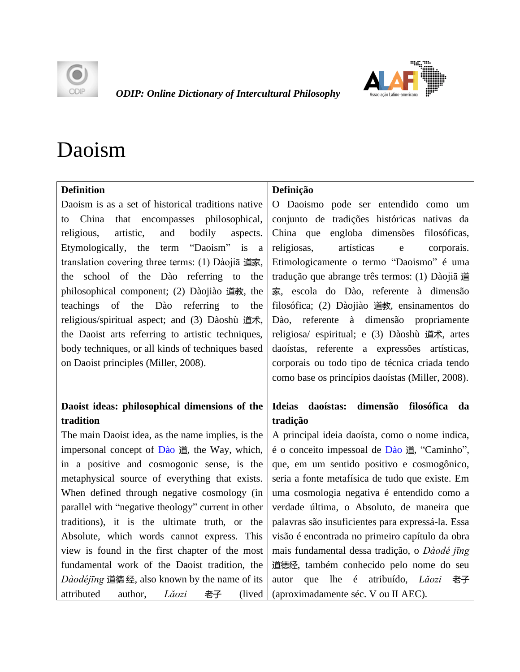

*[ODIP: Online Dictionary of Intercultural Philosophy](http://www.odiphilosophy.com/)* 



# Daoism

## **Definition**

Daoism is as a set of historical traditions native to China that encompasses philosophical, religious, artistic, and bodily aspects. Etymologically, the term "Daoism" is a translation covering three terms: (1) Dàojiā 道家, the school of the Dào referring to the philosophical component; (2) Dàojiào 道教, the teachings of the Dào referring to the religious/spiritual aspect; and (3) Dàoshù 道术, the Daoist arts referring to artistic techniques, body techniques, or all kinds of techniques based on Daoist principles (Miller, 2008).

## **Daoist ideas: philosophical dimensions of the tradition**

The main Daoist idea, as the name implies, is the impersonal concept of [Dào](https://7301ff38-bee9-425c-8054-2a1a22a332e8.filesusr.com/ugd/c49976_a4a5726cb20945c583e50d7251361f1d.pdf) 道, the Way, which, in a positive and cosmogonic sense, is the metaphysical source of everything that exists. When defined through negative cosmology (in parallel with "negative theology" current in other traditions), it is the ultimate truth, or the Absolute, which words cannot express. This view is found in the first chapter of the most fundamental work of the Daoist tradition, the *Dàodéjīng* 道德 经, also known by the name of its attributed author, *Lǎozi* 老子 (lived

## **Definição**

O Daoismo pode ser entendido como um conjunto de tradições históricas nativas da China que engloba dimensões filosóficas, religiosas, artísticas e corporais. Etimologicamente o termo "Daoismo" é uma tradução que abrange três termos: (1) Dàojiā 道 家, escola do Dào, referente à dimensão filosófica; (2) Dàojiào 道教, ensinamentos do Dào, referente à dimensão propriamente religiosa/ espiritual; e (3) Dàoshù 道术, artes daoístas, referente a expressões artísticas, corporais ou todo tipo de técnica criada tendo como base os princípios daoístas (Miller, 2008).

# **Ideias daoístas: dimensão filosófica da tradição**

A principal ideia daoísta, como o nome indica, é o conceito impessoal de [Dào](https://7301ff38-bee9-425c-8054-2a1a22a332e8.filesusr.com/ugd/c49976_a4a5726cb20945c583e50d7251361f1d.pdf) 道, "Caminho", que, em um sentido positivo e cosmogônico, seria a fonte metafísica de tudo que existe. Em uma cosmologia negativa é entendido como a verdade última, o Absoluto, de maneira que palavras são insuficientes para expressá-la. Essa visão é encontrada no primeiro capítulo da obra mais fundamental dessa tradição, o *Dàodé jīng* 道德经, também conhecido pelo nome do seu autor que lhe é atribuído, *Lǎozi* 老子 (aproximadamente séc. V ou II AEC).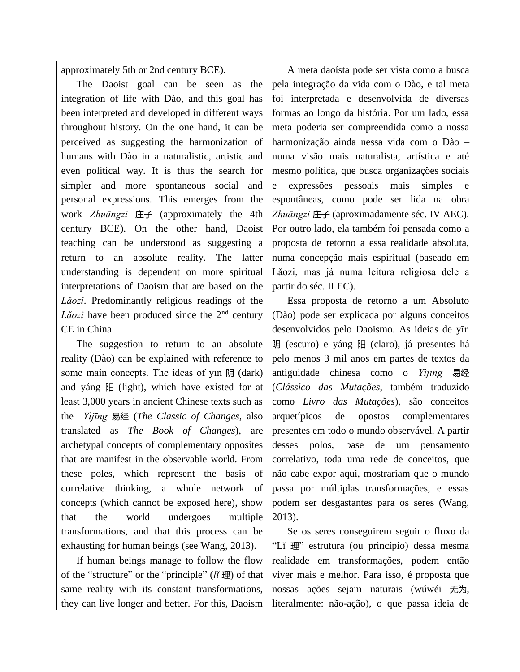approximately 5th or 2nd century BCE).

The Daoist goal can be seen as the integration of life with Dào, and this goal has been interpreted and developed in different ways throughout history. On the one hand, it can be perceived as suggesting the harmonization of humans with Dào in a naturalistic, artistic and even political way. It is thus the search for simpler and more spontaneous social and personal expressions. This emerges from the work *Zhuāngzi* 庄子 (approximately the 4th century BCE). On the other hand, Daoist teaching can be understood as suggesting a return to an absolute reality. The latter understanding is dependent on more spiritual interpretations of Daoism that are based on the *Lǎozi*. Predominantly religious readings of the *Lǎozi* have been produced since the  $2<sup>nd</sup>$  century CE in China.

The suggestion to return to an absolute reality (Dào) can be explained with reference to some main concepts. The ideas of yīn 阴 (dark) and yáng 阳 (light), which have existed for at least 3,000 years in ancient Chinese texts such as the *Yìjīng* 易经 (*The Classic of Changes*, also translated as *The Book of Changes*), are archetypal concepts of complementary opposites that are manifest in the observable world. From these poles, which represent the basis of correlative thinking, a whole network of concepts (which cannot be exposed here), show that the world undergoes multiple transformations, and that this process can be exhausting for human beings (see Wang, 2013).

If human beings manage to follow the flow of the "structure" or the "principle" (*lǐ* 理) of that same reality with its constant transformations, they can live longer and better. For this, Daoism

A meta daoísta pode ser vista como a busca pela integração da vida com o Dào, e tal meta foi interpretada e desenvolvida de diversas formas ao longo da história. Por um lado, essa meta poderia ser compreendida como a nossa harmonização ainda nessa vida com o Dào – numa visão mais naturalista, artística e até mesmo política, que busca organizações sociais e expressões pessoais mais simples e espontâneas, como pode ser lida na obra *Zhuāngzi* 庄子 (aproximadamente séc. IV AEC). Por outro lado, ela também foi pensada como a proposta de retorno a essa realidade absoluta, numa concepção mais espiritual (baseado em Lǎozi, mas já numa leitura religiosa dele a partir do séc. II EC).

Essa proposta de retorno a um Absoluto (Dào) pode ser explicada por alguns conceitos desenvolvidos pelo Daoismo. As ideias de yīn 阴 (escuro) e yáng 阳 (claro), já presentes há pelo menos 3 mil anos em partes de textos da antiguidade chinesa como o *Yìjīng* 易经 (*Clássico das Mutações*, também traduzido como *Livro das Mutações*), são conceitos arquetípicos de opostos complementares presentes em todo o mundo observável. A partir desses polos, base de um pensamento correlativo, toda uma rede de conceitos, que não cabe expor aqui, mostrariam que o mundo passa por múltiplas transformações, e essas podem ser desgastantes para os seres (Wang, 2013).

Se os seres conseguirem seguir o fluxo da "Lǐ 理" estrutura (ou princípio) dessa mesma realidade em transformações, podem então viver mais e melhor. Para isso, é proposta que nossas ações sejam naturais (wúwéi 无为, literalmente: não-ação), o que passa ideia de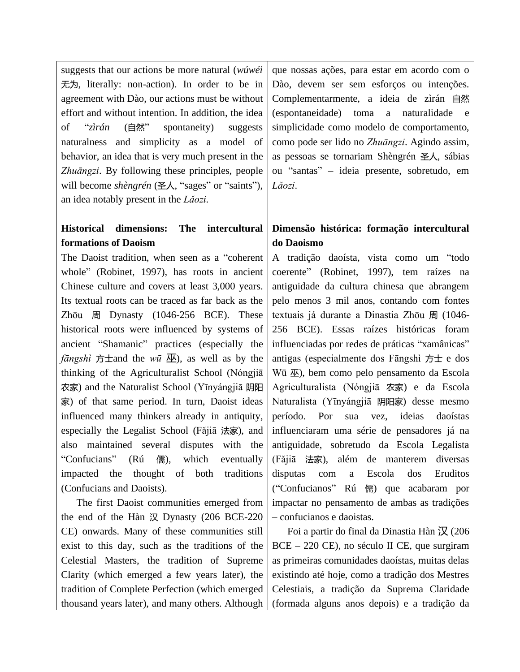suggests that our actions be more natural (*wúwéi* 无为, literally: non-action). In order to be in agreement with Dào, our actions must be without effort and without intention. In addition, the idea of "*zìrán* (自然" spontaneity) suggests naturalness and simplicity as a model of behavior, an idea that is very much present in the *Zhuāngzi*. By following these principles, people will become *shèngrén* (圣人, "sages" or "saints"), an idea notably present in the *Lǎozi*.

## **Historical dimensions: The intercultural formations of Daoism**

The Daoist tradition, when seen as a "coherent whole" (Robinet, 1997), has roots in ancient Chinese culture and covers at least 3,000 years. Its textual roots can be traced as far back as the Zhōu 周 Dynasty (1046-256 BCE). These historical roots were influenced by systems of ancient "Shamanic" practices (especially the *fāngshì* 方士and the  $w\bar{u}$  巫, as well as by the thinking of the Agriculturalist School (Nóngjiā 农家) and the Naturalist School (Yīnyángjiā 阴阳 家) of that same period. In turn, Daoist ideas influenced many thinkers already in antiquity, especially the Legalist School (Fǎjiā 法家), and also maintained several disputes with the "Confucians" (Rú 儒), which eventually impacted the thought of both traditions (Confucians and Daoists).

The first Daoist communities emerged from the end of the Hàn 汉 Dynasty (206 BCE-220 CE) onwards. Many of these communities still exist to this day, such as the traditions of the Celestial Masters, the tradition of Supreme Clarity (which emerged a few years later), the tradition of Complete Perfection (which emerged thousand years later), and many others. Although que nossas ações, para estar em acordo com o Dào, devem ser sem esforços ou intenções. Complementarmente, a ideia de zìrán 自然 (espontaneidade) toma a naturalidade e simplicidade como modelo de comportamento, como pode ser lido no *Zhuāngzi*. Agindo assim, as pessoas se tornariam Shèngrén 圣人, sábias ou "santas" – ideia presente, sobretudo, em *Lǎozi*.

# **Dimensão histórica: formação intercultural do Daoismo**

A tradição daoísta, vista como um "todo coerente" (Robinet, 1997), tem raízes na antiguidade da cultura chinesa que abrangem pelo menos 3 mil anos, contando com fontes textuais já durante a Dinastia Zhōu 周 (1046- 256 BCE). Essas raízes históricas foram influenciadas por redes de práticas "xamânicas" antigas (especialmente dos Fāngshì 方士 e dos Wū 巫), bem como pelo pensamento da Escola Agriculturalista (Nóngjiā 农家) e da Escola Naturalista (Yīnyángjiā 阴阳家) desse mesmo período. Por sua vez, ideias daoístas influenciaram uma série de pensadores já na antiguidade, sobretudo da Escola Legalista (Fǎjiā 法家), além de manterem diversas disputas com a Escola dos Eruditos ("Confucianos" Rú 儒) que acabaram por impactar no pensamento de ambas as tradições – confucianos e daoistas.

Foi a partir do final da Dinastia Hàn  $\chi$  (206 BCE – 220 CE), no século II CE, que surgiram as primeiras comunidades daoístas, muitas delas existindo até hoje, como a tradição dos Mestres Celestiais, a tradição da Suprema Claridade (formada alguns anos depois) e a tradição da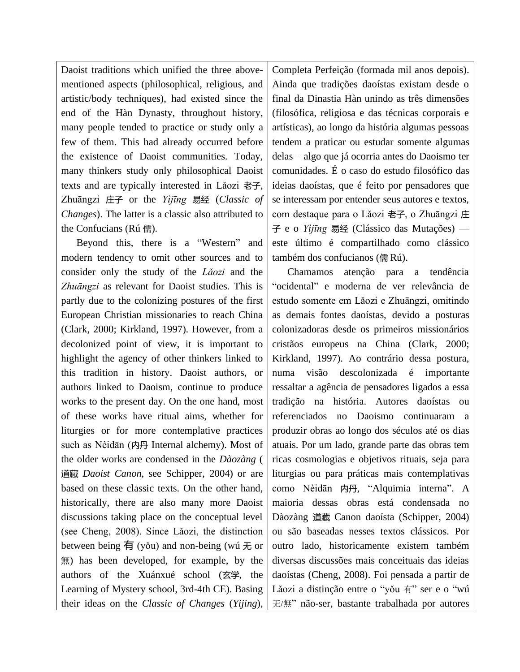Daoist traditions which unified the three abovementioned aspects (philosophical, religious, and artistic/body techniques), had existed since the end of the Hàn Dynasty, throughout history, many people tended to practice or study only a few of them. This had already occurred before the existence of Daoist communities. Today, many thinkers study only philosophical Daoist texts and are typically interested in Lǎozi 老子, Zhuāngzi 庄子 or the *Yìjīng* 易经 (*Classic of Changes*). The latter is a classic also attributed to the Confucians (Rú 儒).

Beyond this, there is a "Western" and modern tendency to omit other sources and to consider only the study of the *Lǎozi* and the *Zhuāngzi* as relevant for Daoist studies. This is partly due to the colonizing postures of the first European Christian missionaries to reach China (Clark, 2000; Kirkland, 1997). However, from a decolonized point of view, it is important to highlight the agency of other thinkers linked to this tradition in history. Daoist authors, or authors linked to Daoism, continue to produce works to the present day. On the one hand, most of these works have ritual aims, whether for liturgies or for more contemplative practices such as Nèidān (内丹 Internal alchemy). Most of the older works are condensed in the *Dàozàng* ( 道藏 *Daoist Canon*, see Schipper, 2004) or are based on these classic texts. On the other hand, historically, there are also many more Daoist discussions taking place on the conceptual level (see Cheng, 2008). Since Lǎozi, the distinction between being 有 (yǒu) and non-being (wú 无 or 無) has been developed, for example, by the authors of the Xuánxué school (玄学, the Learning of Mystery school, 3rd-4th CE). Basing their ideas on the *Classic of Changes* (*Yijing*),

Completa Perfeição (formada mil anos depois). Ainda que tradições daoístas existam desde o final da Dinastia Hàn unindo as três dimensões (filosófica, religiosa e das técnicas corporais e artísticas), ao longo da história algumas pessoas tendem a praticar ou estudar somente algumas delas – algo que já ocorria antes do Daoismo ter comunidades. É o caso do estudo filosófico das ideias daoístas, que é feito por pensadores que se interessam por entender seus autores e textos, com destaque para o Lǎozi 老子, o Zhuāngzi 庄 子 e o *Yìjīng* 易经 (Clássico das Mutações) este último é compartilhado como clássico também dos confucianos (儒 Rú).

Chamamos atenção para a tendência "ocidental" e moderna de ver relevância de estudo somente em Lǎozi e Zhuāngzi, omitindo as demais fontes daoístas, devido a posturas colonizadoras desde os primeiros missionários cristãos europeus na China (Clark, 2000; Kirkland, 1997). Ao contrário dessa postura, numa visão descolonizada é importante ressaltar a agência de pensadores ligados a essa tradição na história. Autores daoístas ou referenciados no Daoismo continuaram a produzir obras ao longo dos séculos até os dias atuais. Por um lado, grande parte das obras tem ricas cosmologias e objetivos rituais, seja para liturgias ou para práticas mais contemplativas como Nèidān 内丹, "Alquimia interna". A maioria dessas obras está condensada no Dàozàng 道藏 Canon daoísta (Schipper, 2004) ou são baseadas nesses textos clássicos. Por outro lado, historicamente existem também diversas discussões mais conceituais das ideias daoístas (Cheng, 2008). Foi pensada a partir de Lǎozi a distinção entre o "yǒu 有" ser e o "wú 无/無" não-ser, bastante trabalhada por autores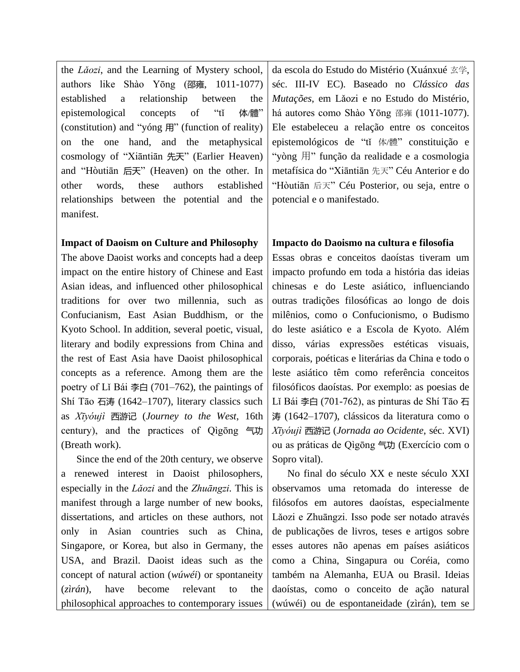the *Lǎozi*, and the Learning of Mystery school, authors like Shào Yōng (邵雍, 1011-1077) established a relationship between the epistemological concepts of "tǐ 体/體" (constitution) and "yóng 用" (function of reality) on the one hand, and the metaphysical cosmology of "Xiāntiān 先天" (Earlier Heaven) and "Hòutiān 后天" (Heaven) on the other. In other words, these authors established relationships between the potential and the manifest.

## **Impact of Daoism on Culture and Philosophy**

The above Daoist works and concepts had a deep impact on the entire history of Chinese and East Asian ideas, and influenced other philosophical traditions for over two millennia, such as Confucianism, East Asian Buddhism, or the Kyoto School. In addition, several poetic, visual, literary and bodily expressions from China and the rest of East Asia have Daoist philosophical concepts as a reference. Among them are the poetry of Lǐ Bái 李白 (701–762), the paintings of Shí Tāo 石涛 (1642–1707), literary classics such as *Xīyóujì* 西游记 (*Journey to the West*, 16th century), and the practices of Qìgōng 气功 (Breath work).

Since the end of the 20th century, we observe a renewed interest in Daoist philosophers, especially in the *Lǎozi* and the *Zhuāngzi*. This is manifest through a large number of new books, dissertations, and articles on these authors, not only in Asian countries such as China, Singapore, or Korea, but also in Germany, the USA, and Brazil. Daoist ideas such as the concept of natural action (*wúwéi*) or spontaneity (*zìrán*), have become relevant to the philosophical approaches to contemporary issues da escola do Estudo do Mistério (Xuánxué 玄学, séc. III-IV EC). Baseado no *Clássico das Mutações*, em Lǎozi e no Estudo do Mistério, há autores como Shào Yōng 邵雍 (1011-1077). Ele estabeleceu a relação entre os conceitos epistemológicos de "tǐ 体/體" constituição e "yòng 用" função da realidade e a cosmologia metafísica do "Xiāntiān 先天" Céu Anterior e do "Hòutiān 后天" Céu Posterior, ou seja, entre o potencial e o manifestado.

## **Impacto do Daoismo na cultura e filosofia**

Essas obras e conceitos daoístas tiveram um impacto profundo em toda a história das ideias chinesas e do Leste asiático, influenciando outras tradições filosóficas ao longo de dois milênios, como o Confucionismo, o Budismo do leste asiático e a Escola de Kyoto. Além disso, várias expressões estéticas visuais, corporais, poéticas e literárias da China e todo o leste asiático têm como referência conceitos filosóficos daoístas. Por exemplo: as poesias de Lǐ Bái 李白 (701-762), as pinturas de Shí Tāo 石 涛 (1642–1707), clássicos da literatura como o *Xīyóujì* 西游记 (*Jornada ao Ocidente*, séc. XVI) ou as práticas de Qìgōng 气功 (Exercício com o Sopro vital).

No final do século XX e neste século XXI observamos uma retomada do interesse de filósofos em autores daoístas, especialmente Lǎozi e Zhuāngzi. Isso pode ser notado através de publicações de livros, teses e artigos sobre esses autores não apenas em países asiáticos como a China, Singapura ou Coréia, como também na Alemanha, EUA ou Brasil. Ideias daoístas, como o conceito de ação natural (wúwéi) ou de espontaneidade (zìrán), tem se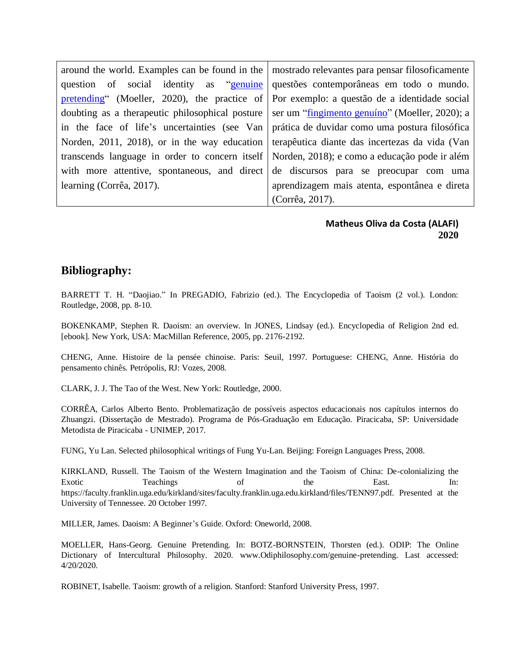| around the world. Examples can be found in the   mostrado relevantes para pensar filosoficamente |                                               |
|--------------------------------------------------------------------------------------------------|-----------------------------------------------|
| question of social identity as "genuine questões contemporâneas em todo o mundo.                 |                                               |
| pretending" (Moeller, 2020), the practice of Por exemplo: a questão de a identidade social       |                                               |
| doubting as a therapeutic philosophical posture   ser um "fingimento genuino" (Moeller, 2020); a |                                               |
| in the face of life's uncertainties (see Van   prática de duvidar como uma postura filosófica    |                                               |
| Norden, 2011, 2018), or in the way education terapéutica diante das incertezas da vida (Van      |                                               |
| transcends language in order to concern itself Norden, 2018); e como a educação pode ir além     |                                               |
| with more attentive, spontaneous, and direct de discursos para se preocupar com uma              |                                               |
| learning (Corrêa, 2017).                                                                         | aprendizagem mais atenta, espontânea e direta |
|                                                                                                  | (Corrêa, 2017).                               |

#### **Matheus Oliva da Costa (ALAFI) 2020**

## **Bibliography:**

BARRETT T. H. "Daojiao." In PREGADIO, Fabrizio (ed.). The Encyclopedia of Taoism (2 vol.). London: Routledge, 2008, pp. 8-10.

BOKENKAMP, Stephen R. Daoism: an overview. In JONES, Lindsay (ed.). Encyclopedia of Religion 2nd ed. [ebook]. New York, USA: MacMillan Reference, 2005, pp. 2176-2192.

CHENG, Anne. Histoire de la pensée chinoise. Paris: Seuil, 1997. Portuguese: CHENG, Anne. História do pensamento chinês. Petrópolis, RJ: Vozes, 2008.

CLARK, J. J. The Tao of the West. New York: Routledge, 2000.

CORRÊA, Carlos Alberto Bento. Problematização de possíveis aspectos educacionais nos capítulos internos do Zhuangzi. (Dissertação de Mestrado). Programa de Pós-Graduação em Educação. Piracicaba, SP: Universidade Metodista de Piracicaba - UNIMEP, 2017.

FUNG, Yu Lan. Selected philosophical writings of Fung Yu-Lan. Beijing: Foreign Languages Press, 2008.

KIRKLAND, Russell. The Taoism of the Western Imagination and the Taoism of China: De-colonializing the Exotic Teachings of the East. In: https://faculty.franklin.uga.edu/kirkland/sites/faculty.franklin.uga.edu.kirkland/files/TENN97.pdf. Presented at the University of Tennessee. 20 October 1997.

MILLER, James. Daoism: A Beginner's Guide. Oxford: Oneworld, 2008.

MOELLER, Hans-Georg. Genuine Pretending. In: BOTZ-BORNSTEIN, Thorsten (ed.). ODIP: The Online Dictionary of Intercultural Philosophy. 2020. www.Odiphilosophy.com/genuine-pretending. Last accessed: 4/20/2020.

ROBINET, Isabelle. Taoism: growth of a religion. Stanford: Stanford University Press, 1997.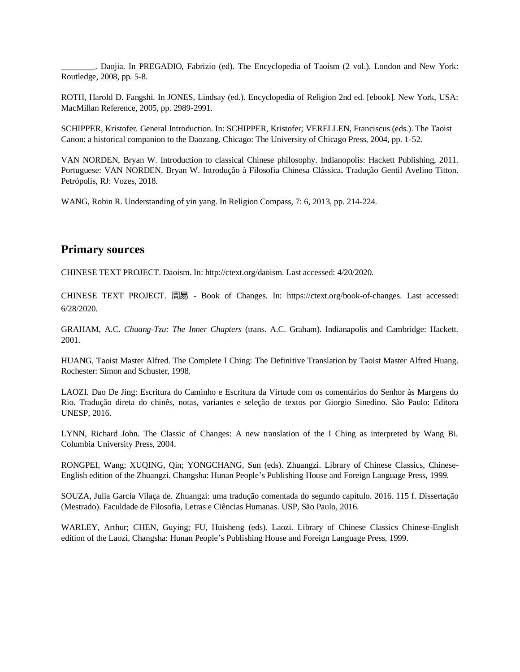\_\_\_\_\_\_\_\_. Daojia. In PREGADIO, Fabrizio (ed). The Encyclopedia of Taoism (2 vol.). London and New York: Routledge, 2008, pp. 5-8.

ROTH, Harold D. Fangshi. In JONES, Lindsay (ed.). Encyclopedia of Religion 2nd ed. [ebook]. New York, USA: MacMillan Reference, 2005, pp. 2989-2991.

SCHIPPER, Kristofer. General Introduction. In: SCHIPPER, Kristofer; VERELLEN, Franciscus (eds.). The Taoist Canon: a historical companion to the Daozang. Chicago: The University of Chicago Press, 2004, pp. 1-52.

VAN NORDEN, Bryan W. Introduction to classical Chinese philosophy. Indianopolis: Hackett Publishing, 2011. Portuguese: VAN NORDEN, Bryan W. Introdução à Filosofia Chinesa Clássica**.** Tradução Gentil Avelino Titton. Petrópolis, RJ: Vozes, 2018.

WANG, Robin R. Understanding of yin yang. In Religion Compass, 7: 6, 2013, pp. 214-224.

#### **Primary sources**

CHINESE TEXT PROJECT. Daoism. In: http://ctext.org/daoism. Last accessed: 4/20/2020.

CHINESE TEXT PROJECT. 周易 - Book of Changes. In: https://ctext.org/book-of-changes. Last accessed: 6/28/2020.

GRAHAM, A.C. *Chuang-Tzu: The Inner Chapters* (trans. A.C. Graham). Indianapolis and Cambridge: Hackett. 2001.

HUANG, Taoist Master Alfred. The Complete I Ching: The Definitive Translation by Taoist Master Alfred Huang. Rochester: Simon and Schuster, 1998.

LAOZI. Dao De Jing: Escritura do Caminho e Escritura da Virtude com os comentários do Senhor às Margens do Rio. Tradução direta do chinês, notas, variantes e seleção de textos por Giorgio Sinedino. São Paulo: Editora UNESP, 2016.

LYNN, Richard John. The Classic of Changes: A new translation of the I Ching as interpreted by Wang Bi. Columbia University Press, 2004.

RONGPEI, Wang; XUQING, Qin; YONGCHANG, Sun (eds). Zhuangzi. Library of Chinese Classics, Chinese-English edition of the Zhuangzi. Changsha: Hunan People's Publishing House and Foreign Language Press, 1999.

SOUZA, Julia Garcia Vilaça de. Zhuangzi: uma tradução comentada do segundo capítulo. 2016. 115 f. Dissertação (Mestrado). Faculdade de Filosofia, Letras e Ciências Humanas. USP, São Paulo, 2016.

WARLEY, Arthur; CHEN, Guying; FU, Huisheng (eds). Laozi. Library of Chinese Classics Chinese-English edition of the Laozi, Changsha: Hunan People's Publishing House and Foreign Language Press, 1999.